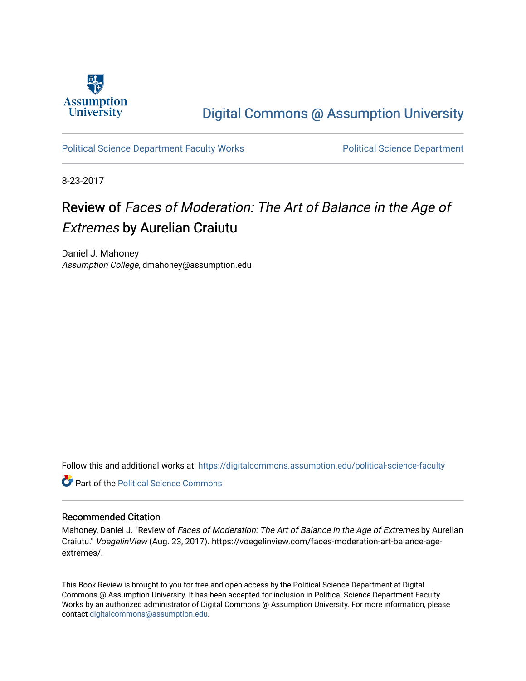

### [Digital Commons @ Assumption University](https://digitalcommons.assumption.edu/)

#### [Political Science Department Faculty Works](https://digitalcommons.assumption.edu/political-science-faculty) **Political Science Department**

8-23-2017

## Review of Faces of Moderation: The Art of Balance in the Age of Extremes by Aurelian Craiutu

Daniel J. Mahoney Assumption College, dmahoney@assumption.edu

Follow this and additional works at: [https://digitalcommons.assumption.edu/political-science-faculty](https://digitalcommons.assumption.edu/political-science-faculty?utm_source=digitalcommons.assumption.edu%2Fpolitical-science-faculty%2F27&utm_medium=PDF&utm_campaign=PDFCoverPages)

**C** Part of the Political Science Commons

#### Recommended Citation

Mahoney, Daniel J. "Review of Faces of Moderation: The Art of Balance in the Age of Extremes by Aurelian Craiutu." VoegelinView (Aug. 23, 2017). https://voegelinview.com/faces-moderation-art-balance-ageextremes/.

This Book Review is brought to you for free and open access by the Political Science Department at Digital Commons @ Assumption University. It has been accepted for inclusion in Political Science Department Faculty Works by an authorized administrator of Digital Commons @ Assumption University. For more information, please contact [digitalcommons@assumption.edu.](mailto:digitalcommons@assumption.edu)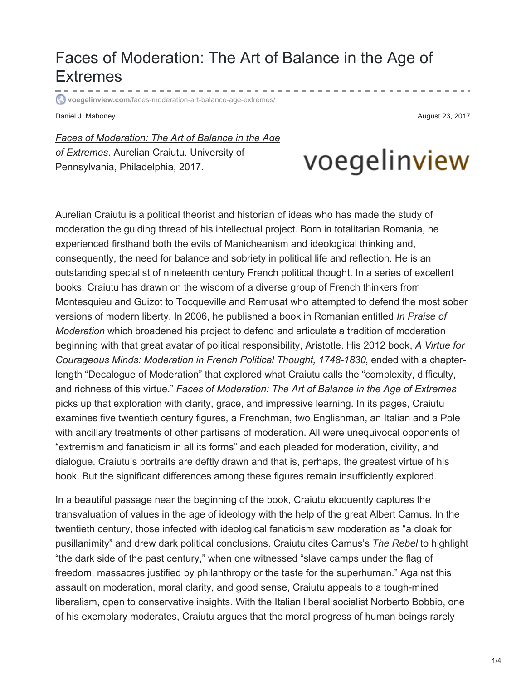## Faces of Moderation: The Art of Balance in the Age of Extremes

**voegelinview.com**[/faces-moderation-art-balance-age-extremes/](https://voegelinview.com/faces-moderation-art-balance-age-extremes/)

Daniel J. Mahoney **August 23, 2017 August 23, 2017** 

*Faces of [Moderation:](https://www.amazon.com/Faces-Moderation-Balance-Extremes-Foundation/dp/0812248767) The Art of Balance in the Age of Extremes*. Aurelian Craiutu. University of Pennsylvania, Philadelphia, 2017.

# voegelinview

Aurelian Craiutu is a political theorist and historian of ideas who has made the study of moderation the guiding thread of his intellectual project. Born in totalitarian Romania, he experienced firsthand both the evils of Manicheanism and ideological thinking and, consequently, the need for balance and sobriety in political life and reflection. He is an outstanding specialist of nineteenth century French political thought. In a series of excellent books, Craiutu has drawn on the wisdom of a diverse group of French thinkers from Montesquieu and Guizot to Tocqueville and Remusat who attempted to defend the most sober versions of modern liberty. In 2006, he published a book in Romanian entitled *In Praise of Moderation* which broadened his project to defend and articulate a tradition of moderation beginning with that great avatar of political responsibility, Aristotle. His 2012 book, *A Virtue for Courageous Minds: Moderation in French Political Thought, 1748-1830*, ended with a chapterlength "Decalogue of Moderation" that explored what Craiutu calls the "complexity, difficulty, and richness of this virtue." *Faces of Moderation: The Art of Balance in the Age of Extremes* picks up that exploration with clarity, grace, and impressive learning. In its pages, Craiutu examines five twentieth century figures, a Frenchman, two Englishman, an Italian and a Pole with ancillary treatments of other partisans of moderation. All were unequivocal opponents of "extremism and fanaticism in all its forms" and each pleaded for moderation, civility, and dialogue. Craiutu's portraits are deftly drawn and that is, perhaps, the greatest virtue of his book. But the significant differences among these figures remain insufficiently explored.

In a beautiful passage near the beginning of the book, Craiutu eloquently captures the transvaluation of values in the age of ideology with the help of the great Albert Camus. In the twentieth century, those infected with ideological fanaticism saw moderation as "a cloak for pusillanimity" and drew dark political conclusions. Craiutu cites Camus's *The Rebel* to highlight "the dark side of the past century," when one witnessed "slave camps under the flag of freedom, massacres justified by philanthropy or the taste for the superhuman." Against this assault on moderation, moral clarity, and good sense, Craiutu appeals to a tough-mined liberalism, open to conservative insights. With the Italian liberal socialist Norberto Bobbio, one of his exemplary moderates, Craiutu argues that the moral progress of human beings rarely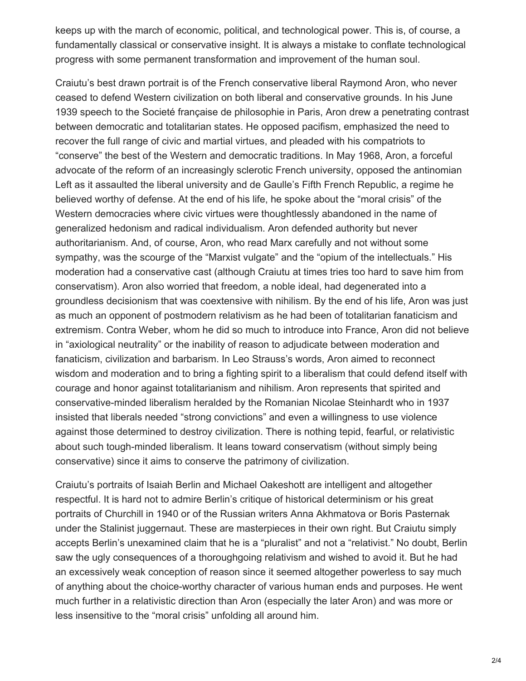keeps up with the march of economic, political, and technological power. This is, of course, a fundamentally classical or conservative insight. It is always a mistake to conflate technological progress with some permanent transformation and improvement of the human soul.

Craiutu's best drawn portrait is of the French conservative liberal Raymond Aron, who never ceased to defend Western civilization on both liberal and conservative grounds. In his June 1939 speech to the Societé française de philosophie in Paris, Aron drew a penetrating contrast between democratic and totalitarian states. He opposed pacifism, emphasized the need to recover the full range of civic and martial virtues, and pleaded with his compatriots to "conserve" the best of the Western and democratic traditions. In May 1968, Aron, a forceful advocate of the reform of an increasingly sclerotic French university, opposed the antinomian Left as it assaulted the liberal university and de Gaulle's Fifth French Republic, a regime he believed worthy of defense. At the end of his life, he spoke about the "moral crisis" of the Western democracies where civic virtues were thoughtlessly abandoned in the name of generalized hedonism and radical individualism. Aron defended authority but never authoritarianism. And, of course, Aron, who read Marx carefully and not without some sympathy, was the scourge of the "Marxist vulgate" and the "opium of the intellectuals." His moderation had a conservative cast (although Craiutu at times tries too hard to save him from conservatism). Aron also worried that freedom, a noble ideal, had degenerated into a groundless decisionism that was coextensive with nihilism. By the end of his life, Aron was just as much an opponent of postmodern relativism as he had been of totalitarian fanaticism and extremism. Contra Weber, whom he did so much to introduce into France, Aron did not believe in "axiological neutrality" or the inability of reason to adjudicate between moderation and fanaticism, civilization and barbarism. In Leo Strauss's words, Aron aimed to reconnect wisdom and moderation and to bring a fighting spirit to a liberalism that could defend itself with courage and honor against totalitarianism and nihilism. Aron represents that spirited and conservative-minded liberalism heralded by the Romanian Nicolae Steinhardt who in 1937 insisted that liberals needed "strong convictions" and even a willingness to use violence against those determined to destroy civilization. There is nothing tepid, fearful, or relativistic about such tough-minded liberalism. It leans toward conservatism (without simply being conservative) since it aims to conserve the patrimony of civilization.

Craiutu's portraits of Isaiah Berlin and Michael Oakeshott are intelligent and altogether respectful. It is hard not to admire Berlin's critique of historical determinism or his great portraits of Churchill in 1940 or of the Russian writers Anna Akhmatova or Boris Pasternak under the Stalinist juggernaut. These are masterpieces in their own right. But Craiutu simply accepts Berlin's unexamined claim that he is a "pluralist" and not a "relativist." No doubt, Berlin saw the ugly consequences of a thoroughgoing relativism and wished to avoid it. But he had an excessively weak conception of reason since it seemed altogether powerless to say much of anything about the choice-worthy character of various human ends and purposes. He went much further in a relativistic direction than Aron (especially the later Aron) and was more or less insensitive to the "moral crisis" unfolding all around him.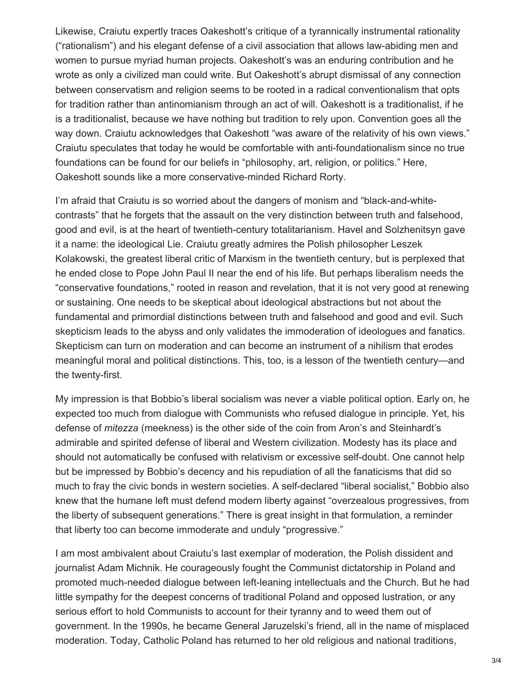Likewise, Craiutu expertly traces Oakeshott's critique of a tyrannically instrumental rationality ("rationalism") and his elegant defense of a civil association that allows law-abiding men and women to pursue myriad human projects. Oakeshott's was an enduring contribution and he wrote as only a civilized man could write. But Oakeshott's abrupt dismissal of any connection between conservatism and religion seems to be rooted in a radical conventionalism that opts for tradition rather than antinomianism through an act of will. Oakeshott is a traditionalist, if he is a traditionalist, because we have nothing but tradition to rely upon. Convention goes all the way down. Craiutu acknowledges that Oakeshott "was aware of the relativity of his own views." Craiutu speculates that today he would be comfortable with anti-foundationalism since no true foundations can be found for our beliefs in "philosophy, art, religion, or politics." Here, Oakeshott sounds like a more conservative-minded Richard Rorty.

I'm afraid that Craiutu is so worried about the dangers of monism and "black-and-whitecontrasts" that he forgets that the assault on the very distinction between truth and falsehood, good and evil, is at the heart of twentieth-century totalitarianism. Havel and Solzhenitsyn gave it a name: the ideological Lie. Craiutu greatly admires the Polish philosopher Leszek Kolakowski, the greatest liberal critic of Marxism in the twentieth century, but is perplexed that he ended close to Pope John Paul II near the end of his life. But perhaps liberalism needs the "conservative foundations," rooted in reason and revelation, that it is not very good at renewing or sustaining. One needs to be skeptical about ideological abstractions but not about the fundamental and primordial distinctions between truth and falsehood and good and evil. Such skepticism leads to the abyss and only validates the immoderation of ideologues and fanatics. Skepticism can turn on moderation and can become an instrument of a nihilism that erodes meaningful moral and political distinctions. This, too, is a lesson of the twentieth century—and the twenty-first.

My impression is that Bobbio's liberal socialism was never a viable political option. Early on, he expected too much from dialogue with Communists who refused dialogue in principle. Yet, his defense of *mitezza* (meekness) is the other side of the coin from Aron's and Steinhardt's admirable and spirited defense of liberal and Western civilization. Modesty has its place and should not automatically be confused with relativism or excessive self-doubt. One cannot help but be impressed by Bobbio's decency and his repudiation of all the fanaticisms that did so much to fray the civic bonds in western societies. A self-declared "liberal socialist," Bobbio also knew that the humane left must defend modern liberty against "overzealous progressives, from the liberty of subsequent generations." There is great insight in that formulation, a reminder that liberty too can become immoderate and unduly "progressive."

I am most ambivalent about Craiutu's last exemplar of moderation, the Polish dissident and journalist Adam Michnik. He courageously fought the Communist dictatorship in Poland and promoted much-needed dialogue between left-leaning intellectuals and the Church. But he had little sympathy for the deepest concerns of traditional Poland and opposed lustration, or any serious effort to hold Communists to account for their tyranny and to weed them out of government. In the 1990s, he became General Jaruzelski's friend, all in the name of misplaced moderation. Today, Catholic Poland has returned to her old religious and national traditions,